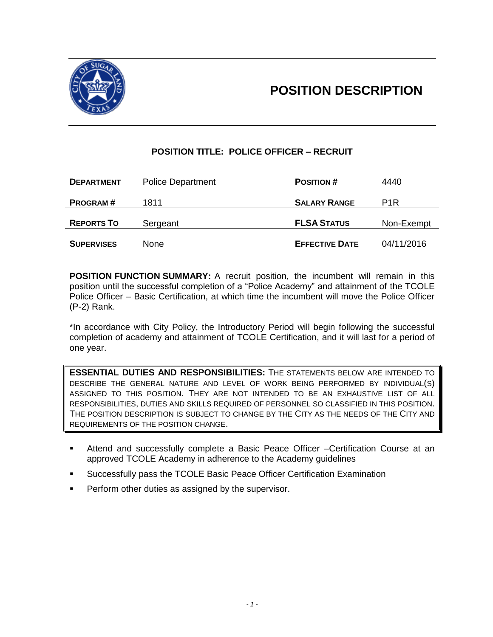



# **POSITION TITLE: POLICE OFFICER – RECRUIT**

| <b>DEPARTMENT</b> | <b>Police Department</b> | <b>POSITION#</b>      | 4440       |
|-------------------|--------------------------|-----------------------|------------|
|                   |                          |                       |            |
| <b>PROGRAM#</b>   | 1811                     | <b>SALARY RANGE</b>   | P1R        |
|                   |                          |                       |            |
| <b>REPORTS TO</b> | Sergeant                 | <b>FLSA STATUS</b>    | Non-Exempt |
|                   |                          |                       |            |
| <b>SUPERVISES</b> | None                     | <b>EFFECTIVE DATE</b> | 04/11/2016 |

**POSITION FUNCTION SUMMARY:** A recruit position, the incumbent will remain in this position until the successful completion of a "Police Academy" and attainment of the TCOLE Police Officer – Basic Certification, at which time the incumbent will move the Police Officer (P-2) Rank.

\*In accordance with City Policy, the Introductory Period will begin following the successful completion of academy and attainment of TCOLE Certification, and it will last for a period of one year.

**ESSENTIAL DUTIES AND RESPONSIBILITIES:** THE STATEMENTS BELOW ARE INTENDED TO DESCRIBE THE GENERAL NATURE AND LEVEL OF WORK BEING PERFORMED BY INDIVIDUAL(S) ASSIGNED TO THIS POSITION. THEY ARE NOT INTENDED TO BE AN EXHAUSTIVE LIST OF ALL RESPONSIBILITIES, DUTIES AND SKILLS REQUIRED OF PERSONNEL SO CLASSIFIED IN THIS POSITION. THE POSITION DESCRIPTION IS SUBJECT TO CHANGE BY THE CITY AS THE NEEDS OF THE CITY AND REQUIREMENTS OF THE POSITION CHANGE.

- Attend and successfully complete a Basic Peace Officer –Certification Course at an approved TCOLE Academy in adherence to the Academy guidelines
- Successfully pass the TCOLE Basic Peace Officer Certification Examination
- Perform other duties as assigned by the supervisor.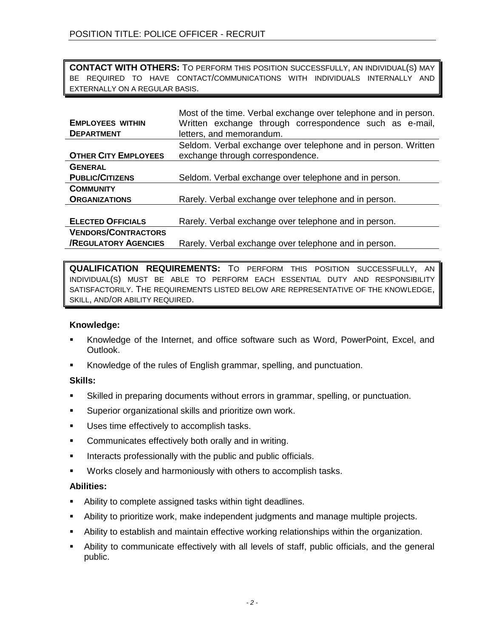**CONTACT WITH OTHERS:** TO PERFORM THIS POSITION SUCCESSFULLY, AN INDIVIDUAL(S) MAY BE REQUIRED TO HAVE CONTACT/COMMUNICATIONS WITH INDIVIDUALS INTERNALLY AND EXTERNALLY ON A REGULAR BASIS.

|                             | Most of the time. Verbal exchange over telephone and in person. |
|-----------------------------|-----------------------------------------------------------------|
| <b>EMPLOYEES WITHIN</b>     | Written exchange through correspondence such as e-mail,         |
| <b>DEPARTMENT</b>           | letters, and memorandum.                                        |
|                             | Seldom. Verbal exchange over telephone and in person. Written   |
| <b>OTHER CITY EMPLOYEES</b> | exchange through correspondence.                                |
| <b>GENERAL</b>              |                                                                 |
| <b>PUBLIC/CITIZENS</b>      | Seldom. Verbal exchange over telephone and in person.           |
| <b>COMMUNITY</b>            |                                                                 |
| <b>ORGANIZATIONS</b>        | Rarely. Verbal exchange over telephone and in person.           |
|                             |                                                                 |
| <b>ELECTED OFFICIALS</b>    | Rarely. Verbal exchange over telephone and in person.           |
| <b>VENDORS/CONTRACTORS</b>  |                                                                 |
| <b>/REGULATORY AGENCIES</b> | Rarely. Verbal exchange over telephone and in person.           |

**QUALIFICATION REQUIREMENTS:** TO PERFORM THIS POSITION SUCCESSFULLY, AN INDIVIDUAL(S) MUST BE ABLE TO PERFORM EACH ESSENTIAL DUTY AND RESPONSIBILITY SATISFACTORILY. THE REQUIREMENTS LISTED BELOW ARE REPRESENTATIVE OF THE KNOWLEDGE, SKILL, AND/OR ABILITY REQUIRED.

# **Knowledge:**

- Knowledge of the Internet, and office software such as Word, PowerPoint, Excel, and Outlook.
- Knowledge of the rules of English grammar, spelling, and punctuation.

# **Skills:**

- Skilled in preparing documents without errors in grammar, spelling, or punctuation.
- Superior organizational skills and prioritize own work.
- Uses time effectively to accomplish tasks.
- **•** Communicates effectively both orally and in writing.
- **Interacts professionally with the public and public officials.**
- Works closely and harmoniously with others to accomplish tasks.

#### **Abilities:**

- Ability to complete assigned tasks within tight deadlines.
- Ability to prioritize work, make independent judgments and manage multiple projects.
- Ability to establish and maintain effective working relationships within the organization.
- Ability to communicate effectively with all levels of staff, public officials, and the general public.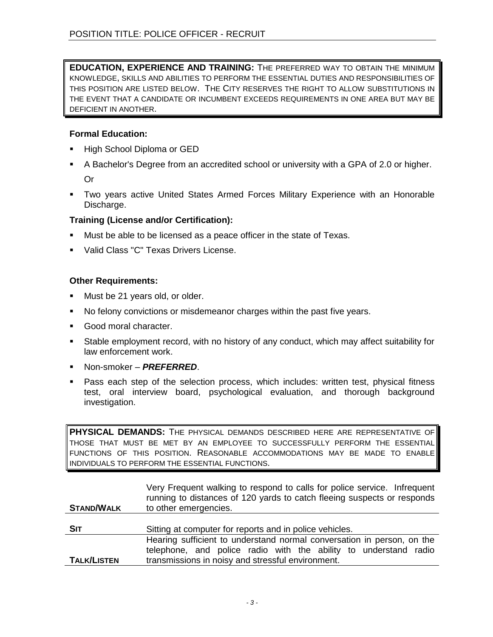**EDUCATION, EXPERIENCE AND TRAINING:** THE PREFERRED WAY TO OBTAIN THE MINIMUM KNOWLEDGE, SKILLS AND ABILITIES TO PERFORM THE ESSENTIAL DUTIES AND RESPONSIBILITIES OF THIS POSITION ARE LISTED BELOW. THE CITY RESERVES THE RIGHT TO ALLOW SUBSTITUTIONS IN THE EVENT THAT A CANDIDATE OR INCUMBENT EXCEEDS REQUIREMENTS IN ONE AREA BUT MAY BE DEFICIENT IN ANOTHER.

# **Formal Education:**

- High School Diploma or GED
- A Bachelor's Degree from an accredited school or university with a GPA of 2.0 or higher. Or
- Two years active United States Armed Forces Military Experience with an Honorable Discharge.

# **Training (License and/or Certification):**

- Must be able to be licensed as a peace officer in the state of Texas.
- Valid Class "C" Texas Drivers License.

# **Other Requirements:**

- Must be 21 years old, or older.
- No felony convictions or misdemeanor charges within the past five years.
- Good moral character.
- Stable employment record, with no history of any conduct, which may affect suitability for law enforcement work.
- Non-smoker *PREFERRED*.
- Pass each step of the selection process, which includes: written test, physical fitness test, oral interview board, psychological evaluation, and thorough background investigation.

**PHYSICAL DEMANDS:** THE PHYSICAL DEMANDS DESCRIBED HERE ARE REPRESENTATIVE OF THOSE THAT MUST BE MET BY AN EMPLOYEE TO SUCCESSFULLY PERFORM THE ESSENTIAL FUNCTIONS OF THIS POSITION. REASONABLE ACCOMMODATIONS MAY BE MADE TO ENABLE INDIVIDUALS TO PERFORM THE ESSENTIAL FUNCTIONS.

| <b>STAND/WALK</b>  | Very Frequent walking to respond to calls for police service. Infrequent<br>running to distances of 120 yards to catch fleeing suspects or responds<br>to other emergencies.                    |
|--------------------|-------------------------------------------------------------------------------------------------------------------------------------------------------------------------------------------------|
| <b>SIT</b>         | Sitting at computer for reports and in police vehicles.                                                                                                                                         |
| <b>TALK/LISTEN</b> | Hearing sufficient to understand normal conversation in person, on the<br>telephone, and police radio with the ability to understand radio<br>transmissions in noisy and stressful environment. |